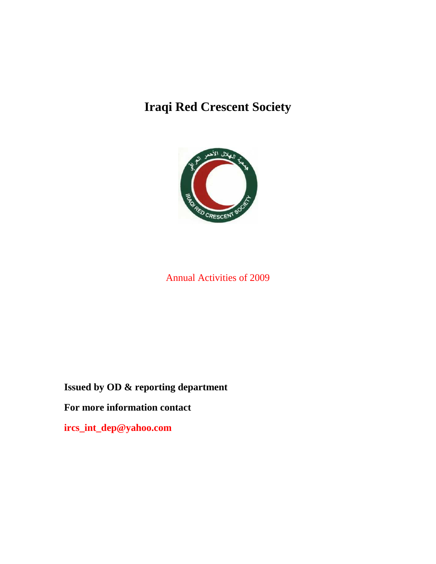# **Iraqi Red Crescent Society**



# Annual Activities of 2009

**Issued by OD & reporting department** 

**For more information contact** 

**ircs\_int\_dep@yahoo.com**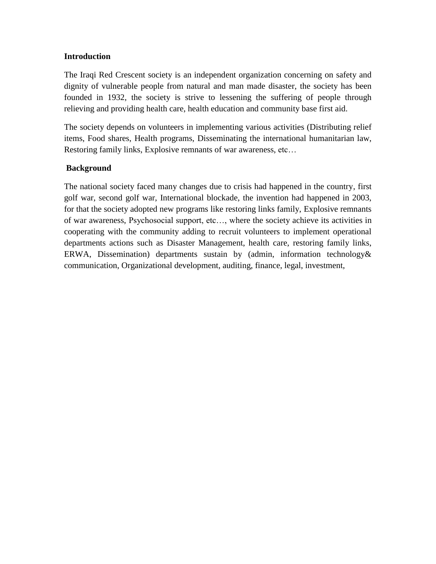#### **Introduction**

The Iraqi Red Crescent society is an independent organization concerning on safety and dignity of vulnerable people from natural and man made disaster, the society has been founded in 1932, the society is strive to lessening the suffering of people through relieving and providing health care, health education and community base first aid.

The society depends on volunteers in implementing various activities (Distributing relief items, Food shares, Health programs, Disseminating the international humanitarian law, Restoring family links, Explosive remnants of war awareness, etc…

#### **Background**

The national society faced many changes due to crisis had happened in the country, first golf war, second golf war, International blockade, the invention had happened in 2003, for that the society adopted new programs like restoring links family, Explosive remnants of war awareness, Psychosocial support, etc…, where the society achieve its activities in cooperating with the community adding to recruit volunteers to implement operational departments actions such as Disaster Management, health care, restoring family links, ERWA, Dissemination) departments sustain by (admin, information technology& communication, Organizational development, auditing, finance, legal, investment,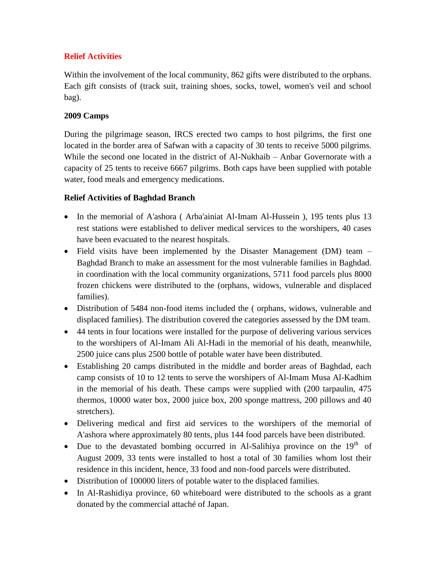# **Relief Activities**

Within the involvement of the local community, 862 gifts were distributed to the orphans. Each gift consists of (track suit, training shoes, socks, towel, women's veil and school bag).

# **2009 Camps**

During the pilgrimage season, IRCS erected two camps to host pilgrims, the first one located in the border area of Safwan with a capacity of 30 tents to receive 5000 pilgrims. While the second one located in the district of Al-Nukhaib – Anbar Governorate with a capacity of 25 tents to receive 6667 pilgrims. Both caps have been supplied with potable water, food meals and emergency medications.

# **Relief Activities of Baghdad Branch**

- In the memorial of A'ashora (Arba'ainiat Al-Imam Al-Hussein), 195 tents plus 13 rest stations were established to deliver medical services to the worshipers, 40 cases have been evacuated to the nearest hospitals.
- Field visits have been implemented by the Disaster Management (DM) team Baghdad Branch to make an assessment for the most vulnerable families in Baghdad. in coordination with the local community organizations, 5711 food parcels plus 8000 frozen chickens were distributed to the (orphans, widows, vulnerable and displaced families).
- Distribution of 5484 non-food items included the ( orphans, widows, vulnerable and displaced families). The distribution covered the categories assessed by the DM team.
- 44 tents in four locations were installed for the purpose of delivering various services to the worshipers of Al-Imam Ali Al-Hadi in the memorial of his death, meanwhile, 2500 juice cans plus 2500 bottle of potable water have been distributed.
- Establishing 20 camps distributed in the middle and border areas of Baghdad, each camp consists of 10 to 12 tents to serve the worshipers of Al-Imam Musa Al-Kadhim in the memorial of his death. These camps were supplied with (200 tarpaulin, 475 thermos, 10000 water box, 2000 juice box, 200 sponge mattress, 200 pillows and 40 stretchers).
- Delivering medical and first aid services to the worshipers of the memorial of A'ashora where approximately 80 tents, plus 144 food parcels have been distributed.
- Due to the devastated bombing occurred in Al-Salihiya province on the  $19<sup>th</sup>$  of August 2009, 33 tents were installed to host a total of 30 families whom lost their residence in this incident, hence, 33 food and non-food parcels were distributed.
- Distribution of 100000 liters of potable water to the displaced families.
- In Al-Rashidiya province, 60 whiteboard were distributed to the schools as a grant donated by the commercial attaché of Japan.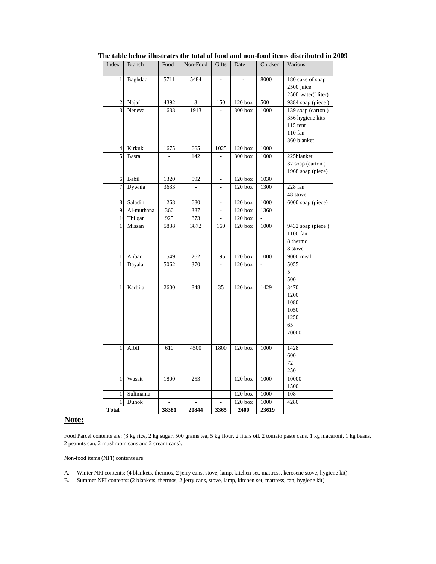| Index          | <b>Branch</b> | Food  | Non-Food                | Gifts          | Date               | Chicken | Various            |
|----------------|---------------|-------|-------------------------|----------------|--------------------|---------|--------------------|
| $\mathbf{1}$   | Baghdad       | 5711  | 5484                    |                |                    | 8000    | 180 cake of soap   |
|                |               |       |                         |                |                    |         | 2500 juice         |
|                |               |       |                         |                |                    |         | 2500 water(1liter) |
| $\overline{c}$ | Najaf         | 4392  | $\overline{\mathbf{3}}$ | 150            | $120$ box          | 500     | 9384 soap (piece)  |
| $\overline{3}$ | Neneva        | 1638  | 1913                    |                | 300 box            | 1000    | 139 soap (carton)  |
|                |               |       |                         |                |                    |         | 356 hygiene kits   |
|                |               |       |                         |                |                    |         | $115$ tent         |
|                |               |       |                         |                |                    |         | $110$ fan          |
|                |               |       |                         |                |                    |         | 860 blanket        |
| $\overline{4}$ | Kirkuk        | 1675  | 665                     | 1025           | $120$ box          | 1000    |                    |
| $\overline{5}$ | Basra         |       | 142                     |                | $300$ box          | 1000    | 225blanket         |
|                |               |       |                         |                |                    |         | 37 soap (carton)   |
|                |               |       |                         |                |                    |         | 1968 soap (piece)  |
| 6.             | Babil         | 1320  | 592                     | ä,             | $120$ box          | 1030    |                    |
| 7.             | Dywnia        | 3633  |                         |                | 120 <sub>box</sub> | 1300    | 228 fan            |
|                |               |       |                         |                |                    |         | 48 stove           |
| 8.             | Saladin       | 1268  | 680                     |                | $120$ box          | 1000    | 6000 soap (piece)  |
| 9.             | Al-muthana    | 360   | 387                     | L.             | $120$ box          | 1360    |                    |
| $\frac{1}{2}$  | Thi qar       | 925   | 873                     | $\blacksquare$ | 120 <sub>box</sub> |         |                    |
| 1              | Missan        | 5838  | 3872                    | 160            | $120$ box          | 1000    | 9432 soap (piece)  |
|                |               |       |                         |                |                    |         | 1100 fan           |
|                |               |       |                         |                |                    |         | 8 thermo           |
|                |               |       |                         |                |                    |         | 8 stove            |
| 11             | Anbar         | 1549  | 262                     | 195            | $120$ box          | 1000    | 9000 meal          |
| 11             | Dayala        | 5062  | 370                     |                | $120$ box          |         | 5055               |
|                |               |       |                         |                |                    |         | 5                  |
|                |               |       |                         |                |                    |         | 500                |
| 1 <sub>1</sub> | Karbila       | 2600  | 848                     | 35             | $120$ box          | 1429    | 3470               |
|                |               |       |                         |                |                    |         | 1200<br>1080       |
|                |               |       |                         |                |                    |         | 1050               |
|                |               |       |                         |                |                    |         | 1250               |
|                |               |       |                         |                |                    |         | 65                 |
|                |               |       |                         |                |                    |         | 70000              |
|                |               |       |                         |                |                    |         |                    |
| $\mathbf{1}$ : | Arbil         | 610   | 4500                    | 1800           | $120$ box          | 1000    | 1428               |
|                |               |       |                         |                |                    |         | 600                |
|                |               |       |                         |                |                    |         | 72                 |
|                |               |       |                         |                |                    |         | 250                |
| $\mathbf{1}$   | Wassit        | 1800  | 253                     |                | $120$ box          | 1000    | 10000              |
|                |               |       |                         |                |                    |         | 1500               |
| $1^{\prime}$   | Sulimania     | L.    | $\overline{a}$          |                | $120$ box          | 1000    | 108                |
| 1:             | Duhok         |       |                         |                | $120$ box          | 1000    | 4280               |
| Total          |               | 38381 | 20844                   | 3365           | 2400               | 23619   |                    |

 **The table below illustrates the total of food and non-food items distributed in 2009**

#### **Note:**

Food Parcel contents are: (3 kg rice, 2 kg sugar, 500 grams tea, 5 kg flour, 2 liters oil, 2 tomato paste cans, 1 kg macaroni, 1 kg beans, 2 peanuts can, 2 mushroom cans and 2 cream cans).

Non-food items (NFI) contents are:

- A. Winter NFI contents: (4 blankets, thermos, 2 jerry cans, stove, lamp, kitchen set, mattress, kerosene stove, hygiene kit).
- B. Summer NFI contents: (2 blankets, thermos, 2 jerry cans, stove, lamp, kitchen set, mattress, fan, hygiene kit).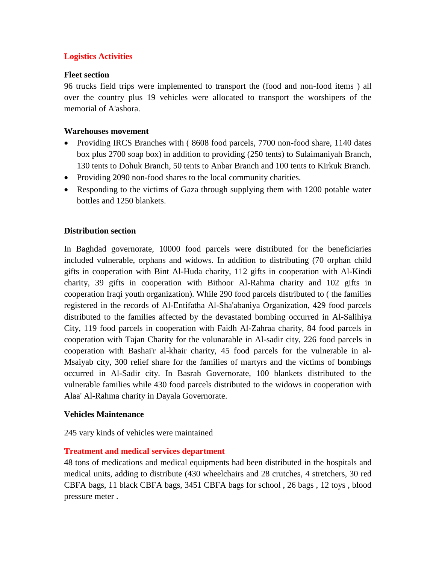# **Logistics Activities**

#### **Fleet section**

96 trucks field trips were implemented to transport the (food and non-food items ) all over the country plus 19 vehicles were allocated to transport the worshipers of the memorial of A'ashora.

#### **Warehouses movement**

- Providing IRCS Branches with (8608 food parcels, 7700 non-food share, 1140 dates box plus 2700 soap box) in addition to providing (250 tents) to Sulaimaniyah Branch, 130 tents to Dohuk Branch, 50 tents to Anbar Branch and 100 tents to Kirkuk Branch.
- Providing 2090 non-food shares to the local community charities.
- Responding to the victims of Gaza through supplying them with 1200 potable water bottles and 1250 blankets.

#### **Distribution section**

In Baghdad governorate, 10000 food parcels were distributed for the beneficiaries included vulnerable, orphans and widows. In addition to distributing (70 orphan child gifts in cooperation with Bint Al-Huda charity, 112 gifts in cooperation with Al-Kindi charity, 39 gifts in cooperation with Bithoor Al-Rahma charity and 102 gifts in cooperation Iraqi youth organization). While 290 food parcels distributed to ( the families registered in the records of Al-Entifatha Al-Sha'abaniya Organization, 429 food parcels distributed to the families affected by the devastated bombing occurred in Al-Salihiya City, 119 food parcels in cooperation with Faidh Al-Zahraa charity, 84 food parcels in cooperation with Tajan Charity for the volunarable in Al-sadir city, 226 food parcels in cooperation with Bashai'r al-khair charity, 45 food parcels for the vulnerable in al-Msaiyab city, 300 relief share for the families of martyrs and the victims of bombings occurred in Al-Sadir city. In Basrah Governorate, 100 blankets distributed to the vulnerable families while 430 food parcels distributed to the widows in cooperation with Alaa' Al-Rahma charity in Dayala Governorate.

#### **Vehicles Maintenance**

245 vary kinds of vehicles were maintained

#### **Treatment and medical services department**

48 tons of medications and medical equipments had been distributed in the hospitals and medical units, adding to distribute (430 wheelchairs and 28 crutches, 4 stretchers, 30 red CBFA bags, 11 black CBFA bags, 3451 CBFA bags for school , 26 bags , 12 toys , blood pressure meter .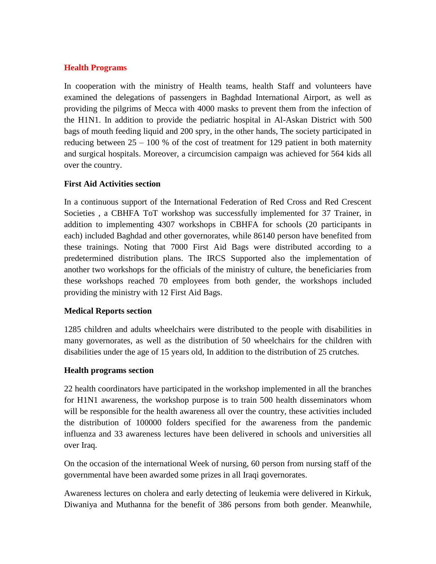# **Health Programs**

In cooperation with the ministry of Health teams, health Staff and volunteers have examined the delegations of passengers in Baghdad International Airport, as well as providing the pilgrims of Mecca with 4000 masks to prevent them from the infection of the H1N1. In addition to provide the pediatric hospital in Al-Askan District with 500 bags of mouth feeding liquid and 200 spry, in the other hands, The society participated in reducing between  $25 - 100\%$  of the cost of treatment for 129 patient in both maternity and surgical hospitals. Moreover, a circumcision campaign was achieved for 564 kids all over the country.

#### **First Aid Activities section**

In a continuous support of the International Federation of Red Cross and Red Crescent Societies , a CBHFA ToT workshop was successfully implemented for 37 Trainer, in addition to implementing 4307 workshops in CBHFA for schools (20 participants in each) included Baghdad and other governorates, while 86140 person have benefited from these trainings. Noting that 7000 First Aid Bags were distributed according to a predetermined distribution plans. The IRCS Supported also the implementation of another two workshops for the officials of the ministry of culture, the beneficiaries from these workshops reached 70 employees from both gender, the workshops included providing the ministry with 12 First Aid Bags.

#### **Medical Reports section**

1285 children and adults wheelchairs were distributed to the people with disabilities in many governorates, as well as the distribution of 50 wheelchairs for the children with disabilities under the age of 15 years old, In addition to the distribution of 25 crutches.

#### **Health programs section**

22 health coordinators have participated in the workshop implemented in all the branches for H1N1 awareness, the workshop purpose is to train 500 health disseminators whom will be responsible for the health awareness all over the country, these activities included the distribution of 100000 folders specified for the awareness from the pandemic influenza and 33 awareness lectures have been delivered in schools and universities all over Iraq.

On the occasion of the international Week of nursing, 60 person from nursing staff of the governmental have been awarded some prizes in all Iraqi governorates.

Awareness lectures on cholera and early detecting of leukemia were delivered in Kirkuk, Diwaniya and Muthanna for the benefit of 386 persons from both gender. Meanwhile,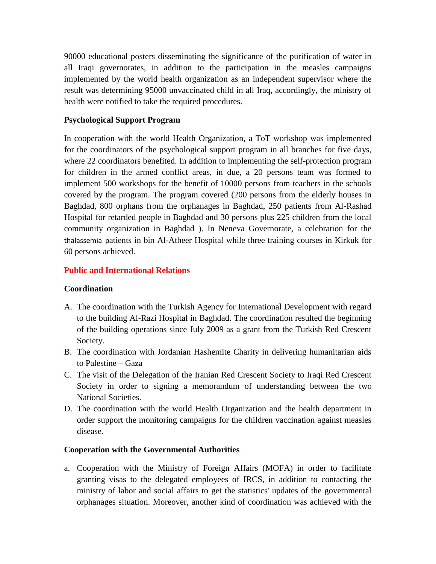90000 educational posters disseminating the significance of the purification of water in all Iraqi governorates, in addition to the participation in the measles campaigns implemented by the world health organization as an independent supervisor where the result was determining 95000 unvaccinated child in all Iraq, accordingly, the ministry of health were notified to take the required procedures.

#### **Psychological Support Program**

In cooperation with the world Health Organization, a ToT workshop was implemented for the coordinators of the psychological support program in all branches for five days, where 22 coordinators benefited. In addition to implementing the self-protection program for children in the armed conflict areas, in due, a 20 persons team was formed to implement 500 workshops for the benefit of 10000 persons from teachers in the schools covered by the program. The program covered (200 persons from the elderly houses in Baghdad, 800 orphans from the orphanages in Baghdad, 250 patients from Al-Rashad Hospital for retarded people in Baghdad and 30 persons plus 225 children from the local community organization in Baghdad ). In Neneva Governorate, a celebration for the thalassemia patients in bin Al-Atheer Hospital while three training courses in Kirkuk for 60 persons achieved.

# **Public and International Relations**

#### **Coordination**

- A. The coordination with the Turkish Agency for International Development with regard to the building Al-Razi Hospital in Baghdad. The coordination resulted the beginning of the building operations since July 2009 as a grant from the Turkish Red Crescent Society.
- B. The coordination with Jordanian Hashemite Charity in delivering humanitarian aids to Palestine – Gaza
- C. The visit of the Delegation of the Iranian Red Crescent Society to Iraqi Red Crescent Society in order to signing a memorandum of understanding between the two National Societies.
- D. The coordination with the world Health Organization and the health department in order support the monitoring campaigns for the children vaccination against measles disease.

#### **Cooperation with the Governmental Authorities**

a. Cooperation with the Ministry of Foreign Affairs (MOFA) in order to facilitate granting visas to the delegated employees of IRCS, in addition to contacting the ministry of labor and social affairs to get the statistics' updates of the governmental orphanages situation. Moreover, another kind of coordination was achieved with the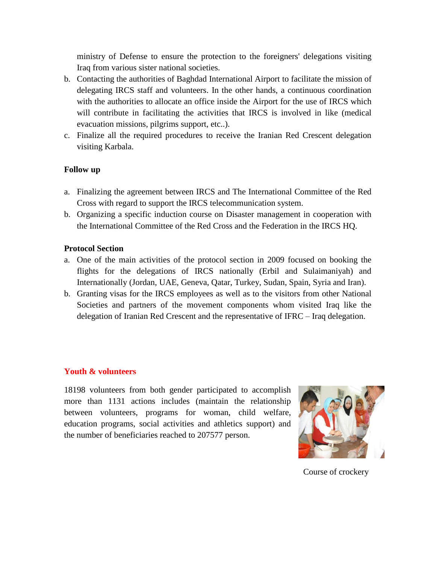ministry of Defense to ensure the protection to the foreigners' delegations visiting Iraq from various sister national societies.

- b. Contacting the authorities of Baghdad International Airport to facilitate the mission of delegating IRCS staff and volunteers. In the other hands, a continuous coordination with the authorities to allocate an office inside the Airport for the use of IRCS which will contribute in facilitating the activities that IRCS is involved in like (medical evacuation missions, pilgrims support, etc..).
- c. Finalize all the required procedures to receive the Iranian Red Crescent delegation visiting Karbala.

#### **Follow up**

- a. Finalizing the agreement between IRCS and The International Committee of the Red Cross with regard to support the IRCS telecommunication system.
- b. Organizing a specific induction course on Disaster management in cooperation with the International Committee of the Red Cross and the Federation in the IRCS HQ.

#### **Protocol Section**

- a. One of the main activities of the protocol section in 2009 focused on booking the flights for the delegations of IRCS nationally (Erbil and Sulaimaniyah) and Internationally (Jordan, UAE, Geneva, Qatar, Turkey, Sudan, Spain, Syria and Iran).
- b. Granting visas for the IRCS employees as well as to the visitors from other National Societies and partners of the movement components whom visited Iraq like the delegation of Iranian Red Crescent and the representative of IFRC – Iraq delegation.

#### **Youth & volunteers**

18198 volunteers from both gender participated to accomplish more than 1131 actions includes (maintain the relationship between volunteers, programs for woman, child welfare, education programs, social activities and athletics support) and the number of beneficiaries reached to 207577 person.



Course of crockery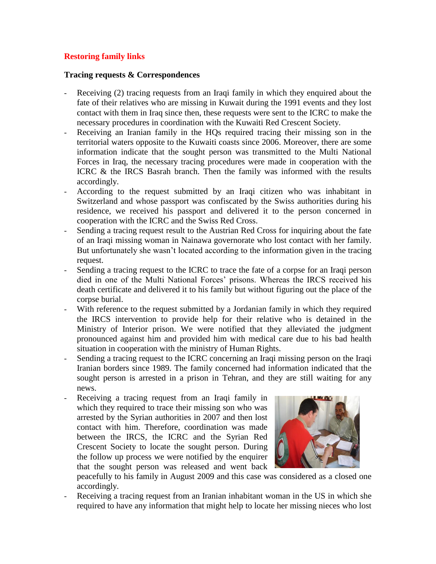#### **Restoring family links**

#### **Tracing requests & Correspondences**

- Receiving (2) tracing requests from an Iraqi family in which they enquired about the fate of their relatives who are missing in Kuwait during the 1991 events and they lost contact with them in Iraq since then, these requests were sent to the ICRC to make the necessary procedures in coordination with the Kuwaiti Red Crescent Society.
- Receiving an Iranian family in the HQs required tracing their missing son in the territorial waters opposite to the Kuwaiti coasts since 2006. Moreover, there are some information indicate that the sought person was transmitted to the Multi National Forces in Iraq, the necessary tracing procedures were made in cooperation with the ICRC & the IRCS Basrah branch. Then the family was informed with the results accordingly.
- According to the request submitted by an Iraqi citizen who was inhabitant in Switzerland and whose passport was confiscated by the Swiss authorities during his residence, we received his passport and delivered it to the person concerned in cooperation with the ICRC and the Swiss Red Cross.
- Sending a tracing request result to the Austrian Red Cross for inquiring about the fate of an Iraqi missing woman in Nainawa governorate who lost contact with her family. But unfortunately she wasn't located according to the information given in the tracing request.
- Sending a tracing request to the ICRC to trace the fate of a corpse for an Iraqi person died in one of the Multi National Forces' prisons. Whereas the IRCS received his death certificate and delivered it to his family but without figuring out the place of the corpse burial.
- With reference to the request submitted by a Jordanian family in which they required the IRCS intervention to provide help for their relative who is detained in the Ministry of Interior prison. We were notified that they alleviated the judgment pronounced against him and provided him with medical care due to his bad health situation in cooperation with the ministry of Human Rights.
- Sending a tracing request to the ICRC concerning an Iraqi missing person on the Iraqi Iranian borders since 1989. The family concerned had information indicated that the sought person is arrested in a prison in Tehran, and they are still waiting for any news.
- Receiving a tracing request from an Iraqi family in which they required to trace their missing son who was arrested by the Syrian authorities in 2007 and then lost contact with him. Therefore, coordination was made between the IRCS, the ICRC and the Syrian Red Crescent Society to locate the sought person. During the follow up process we were notified by the enquirer that the sought person was released and went back



peacefully to his family in August 2009 and this case was considered as a closed one accordingly.

Receiving a tracing request from an Iranian inhabitant woman in the US in which she required to have any information that might help to locate her missing nieces who lost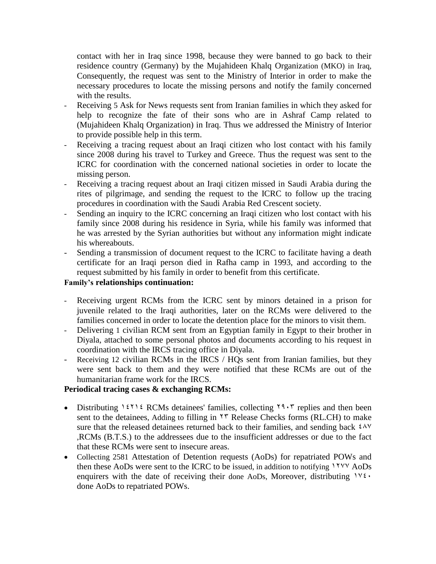contact with her in Iraq since 1998, because they were banned to go back to their residence country (Germany) by the Mujahideen Khalq Organization (MKO) in Iraq, Consequently, the request was sent to the Ministry of Interior in order to make the necessary procedures to locate the missing persons and notify the family concerned with the results.

- Receiving 5 Ask for News requests sent from Iranian families in which they asked for help to recognize the fate of their sons who are in Ashraf Camp related to (Mujahideen Khalq Organization) in Iraq. Thus we addressed the Ministry of Interior to provide possible help in this term.
- Receiving a tracing request about an Iraqi citizen who lost contact with his family since 2008 during his travel to Turkey and Greece. Thus the request was sent to the ICRC for coordination with the concerned national societies in order to locate the missing person.
- Receiving a tracing request about an Iraqi citizen missed in Saudi Arabia during the rites of pilgrimage, and sending the request to the ICRC to follow up the tracing procedures in coordination with the Saudi Arabia Red Crescent society.
- Sending an inquiry to the ICRC concerning an Iraqi citizen who lost contact with his family since 2008 during his residence in Syria, while his family was informed that he was arrested by the Syrian authorities but without any information might indicate his whereabouts.
- Sending a transmission of document request to the ICRC to facilitate having a death certificate for an Iraqi person died in Rafha camp in 1993, and according to the request submitted by his family in order to benefit from this certificate.

#### **Family's relationships continuation:**

- Receiving urgent RCMs from the ICRC sent by minors detained in a prison for juvenile related to the Iraqi authorities, later on the RCMs were delivered to the families concerned in order to locate the detention place for the minors to visit them.
- Delivering 1 civilian RCM sent from an Egyptian family in Egypt to their brother in Diyala, attached to some personal photos and documents according to his request in coordination with the IRCS tracing office in Diyala.
- Receiving 12 civilian RCMs in the IRCS / HQs sent from Iranian families, but they were sent back to them and they were notified that these RCMs are out of the humanitarian frame work for the IRCS.

#### **Periodical tracing cases & exchanging RCMs:**

- Distributing  $1511 \text{ ECMs}$  detainees' families, collecting  $19.5$  replies and then been sent to the detainees, Adding to filling in  $\tau \tau$  Release Checks forms (RL.CH) to make sure that the released detainees returned back to their families, and sending back  $2\lambda v$ ,RCMs (B.T.S.) to the addressees due to the insufficient addresses or due to the fact that these RCMs were sent to insecure areas.
- Collecting 2581 Attestation of Detention requests (AoDs) for repatriated POWs and then these AoDs were sent to the ICRC to be issued, in addition to notifying 1777 AoDs enquirers with the date of receiving their done AoDs, Moreover, distributing  $1\sqrt{2}$ . done AoDs to repatriated POWs.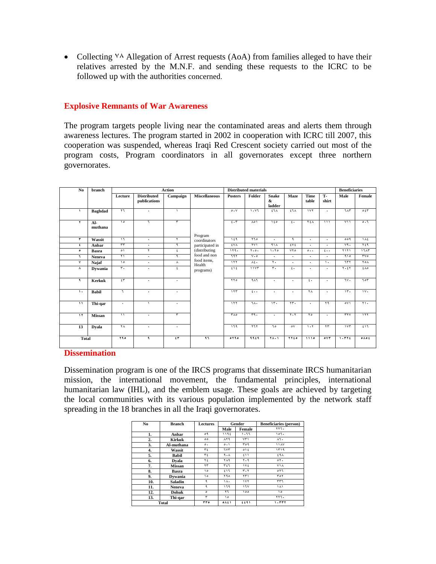• Collecting  $\vee \wedge$  Allegation of Arrest requests (AoA) from families alleged to have their relatives arrested by the M.N.F. and sending these requests to the ICRC to be followed up with the authorities concerned.

#### **Explosive Remnants of War Awareness**

The program targets people living near the contaminated areas and alerts them through awareness lectures. The program started in 2002 in cooperation with ICRC till 2007, this cooperation was suspended, whereas Iraqi Red Crescent society carried out most of the program costs, Program coordinators in all governorates except three northern governorates.

| N <sub>0</sub>          | branch           | <b>Action</b>              |                                    |                               | <b>Distributed materials</b>          |                  |                        |                                        |                                 |                      | <b>Beneficiaries</b>      |                               |                         |
|-------------------------|------------------|----------------------------|------------------------------------|-------------------------------|---------------------------------------|------------------|------------------------|----------------------------------------|---------------------------------|----------------------|---------------------------|-------------------------------|-------------------------|
|                         |                  | Lecture                    | <b>Distributed</b><br>publications | Campaign                      | <b>Miscellaneous</b>                  | <b>Posters</b>   | Folder                 | <b>Snake</b><br>$\mathbf{x}$<br>ladder | Maze                            | <b>Time</b><br>table | <b>T-</b><br>shirt        | Male                          | Female                  |
| $\sqrt{2}$              | <b>Baghdad</b>   | ۲٦                         | $\cdot$                            | $\lambda$                     |                                       | 0.1              | 1.17                   | ٤٦٨                                    | $57\lambda$                     | 11 <sub>Y</sub>      | $\Delta$                  | ٦٨٣                           | 0.54                    |
| ۲                       | $Al-$<br>muthana | $\sqrt{2}$                 | ٦                                  | ٣                             | Program                               | 5.7              | $\lambda$ o 1          | 150                                    | $\mathbf{t}$                    | <b>YEA</b>           | $\overline{\mathbf{u}}$   | $\sqrt{11}$                   | 5.5                     |
| ۳                       | Wassit           | $\mathcal{L}$              | $\ddot{\phantom{0}}$               | ۲                             | coordinators                          | 159              | ۲٦٥                    | $\ddot{\phantom{0}}$                   | ٩                               | $\cdot$              | $\cdot$                   | 009                           | $\Lambda$ £             |
| $\epsilon$              | Anbar            | $\overline{\mathbf{r}}$    | $\cdot$                            | ٩                             | participated in                       | <b>EVA</b>       | $\overline{Y}V$        | 41 <sub>A</sub>                        | EVI                             | $\cdot$              | $\cdot$                   | vq.                           | ٢٤٩                     |
| ۰                       | <b>Basra</b>     | $\circ$                    | $\mathbf{r}$                       | ٤                             | (distributing                         | 119.             | $Y \cdot \circ \cdot$  | 1.70                                   | <b>VYO</b>                      | $\circ \cdot \cdot$  | $\epsilon \cdot \cdot$    | $\frac{1}{1}$                 | 17AT                    |
| ٦.                      | Neneva           | $\overline{\ }$            | $\bullet$                          | $\overline{a}$                | food and non<br>food items,<br>Health | ٦٩٢              | $V \cdot \circ$        | ٠                                      | $\bullet$                       | $\ddot{\phantom{0}}$ | ٠                         | 910                           | TV <sub>o</sub>         |
| ٧                       | Najaf            | $\sqrt{2}$                 | $\ddot{\phantom{0}}$               | $\lambda$                     |                                       | 111              | $\lambda$ ź.           | ۲.                                     | $\ddot{\phantom{0}}$            | $\ddot{\phantom{0}}$ | $\lambda$                 | 777                           | <b>YOA</b>              |
| ۸                       | Dywania          | $\mathbf{r}$ .             | $\cdot$                            | ٤                             | programs)                             | i                | 11Y                    | $\mathbf{r}$ .                         | $\epsilon$ .                    | ٠                    | $\ddot{\phantom{0}}$      | $\overline{\tau \cdot z\tau}$ | ٤٨٥                     |
| ٩                       | <b>Kerkuk</b>    | $\mathfrak{f}\mathfrak{r}$ | ٠                                  | $\cdot$                       |                                       | $\overline{110}$ | 911                    | ٠                                      | ٠                               | $\mathbf{f}$ .       | ٠                         | ٦٧٠                           | 705                     |
| ١.                      | <b>Babil</b>     | ٦                          | $\cdot$                            | $\ddot{\phantom{0}}$          |                                       | 117              | $\epsilon \cdot \cdot$ | ٠                                      | $\cdot$                         | ٢٨                   | $\cdot$                   | $\overline{\mathbf{r}}$       | $\overline{\mathsf{v}}$ |
| $\overline{\mathbf{1}}$ | Thi-qar          | ۰                          |                                    | $\ddot{\phantom{0}}$          |                                       | 111              | ٦٨.                    | $\overline{\mathbf{r}}$                | $\overline{\mathbf{y}}$         | $\cdot$              | $\mathbf{Y}^{\mathbf{q}}$ | oV1                           | $\overline{\cdots}$     |
| $\overline{\mathbf{y}}$ | <b>Missan</b>    | $\lambda$                  | $\cdot$                            | ۳                             |                                       | <b>TA0</b>       | rr9.                   | $\ddot{\phantom{0}}$                   | $\overline{r}$ . $\overline{r}$ | ٢o                   | $\Delta$                  | rrv                           | 111                     |
| 13                      | <b>Dyala</b>     | <b>YA</b>                  | $\bullet$                          | $\ddot{\phantom{0}}$          |                                       | 179              | 111                    | ٦o                                     | $\circ \vee$                    | 1.7                  | $\mathbf{r}$              | 117                           | 517                     |
|                         | <b>Total</b>     |                            | ٩                                  | $\mathfrak{t}$ $\mathfrak{r}$ | 4.5                                   | 0190             | 9919                   | <b>YA.1</b>                            | <b>YYEO</b>                     | 1110                 | OVP                       | 1.711                         | $0 \wedge 0 1$          |

#### **Dissemination**

Dissemination program is one of the IRCS programs that disseminate IRCS humanitarian mission, the international movement, the fundamental principles, international humanitarian law (IHL), and the emblem usage. These goals are achieved by targeting the local communities with its various population implemented by the network staff spreading in the 18 branches in all the Iraqi governorates.

| No  | <b>Branch</b> | Lectures  | Gender                     |                               | <b>Beneficiaries (person)</b> |  |  |
|-----|---------------|-----------|----------------------------|-------------------------------|-------------------------------|--|--|
|     |               |           | Male                       | Female                        | 777.                          |  |  |
| 1.  | Anbar         | ٥٩        | ١١٩٤                       | ۱۰٦٦                          | ۱۵٦.                          |  |  |
| 2.  | Kirkuk        | ٥٥        | <b>AT9</b>                 | $Y\Upsilon$                   | ۸٦.                           |  |  |
| 3.  | Al-muthana    | $\circ$ . | $\circ \cdot \cdot$        | ۳٥٩                           | 11AV                          |  |  |
| 4.  | Wassit        | ٣٤        | ٦٧٣                        | 01t                           | 1119                          |  |  |
| 5.  | <b>Babil</b>  | ٣٤        | 4.1                        | ٤١١                           | ٤٩٨                           |  |  |
| 6.  | Dvala         | ٢٤        | ۲۸۹                        | $\mathbf{r} \cdot \mathbf{q}$ | $\circ \tau$ .                |  |  |
| 7.  | <b>Missan</b> | ۲۳        | ٣٤٦                        | ١٧٤                           | ۷۱۸                           |  |  |
| 8.  | Basra         | ۱٥        | ٤١٦                        | $r \cdot r$                   | ٥٢٦                           |  |  |
| 9.  | Dywania       | ۱٥        | 790                        | ۲۳۱                           | For                           |  |  |
| 10. | Saladin       | ٩         | ١٨٠                        | $\sqrt{1}$                    | ٣٣٦                           |  |  |
| 11. | Neneva        | ٩         | ۱٦٩                        | ١٦٧                           | ۱۸۱                           |  |  |
| 12. | Dohuk         | $\circ$   | ٢٦                         | ٥٥١                           | ه ۱                           |  |  |
| 13. | Thi-qar       | ٣         | ه ۱                        |                               | ۲۲٦.                          |  |  |
|     | <b>Total</b>  |           | $0A$ $\uparrow$ $\uparrow$ | tt91                          | ۱۰۳۳۲                         |  |  |